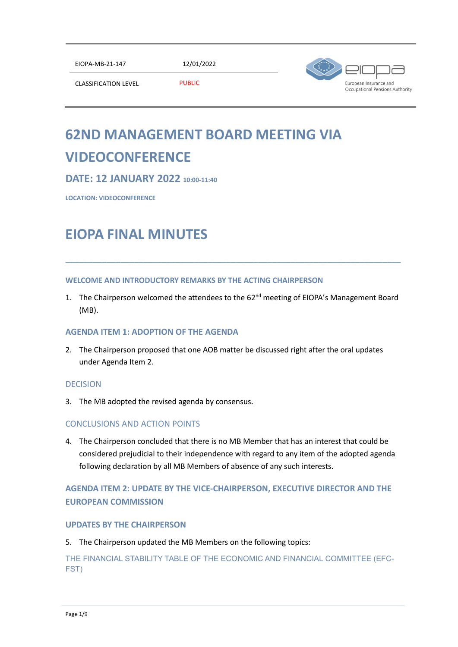EIOPA-MB-21-147 12/01/2022



CLASSIFICATION LEVEL PUBLIC

# **62ND MANAGEMENT BOARD MEETING VIA VIDEOCONFERENCE**

# **DATE: 12 JANUARY 2022 10:00-11:40**

**LOCATION: VIDEOCONFERENCE**

# **EIOPA FINAL MINUTES**

## **WELCOME AND INTRODUCTORY REMARKS BY THE ACTING CHAIRPERSON**

1. The Chairperson welcomed the attendees to the 62<sup>nd</sup> meeting of EIOPA's Management Board (MB).

\_\_\_\_\_\_\_\_\_\_\_\_\_\_\_\_\_\_\_\_\_\_\_\_\_\_\_\_\_\_\_\_\_\_\_\_\_\_\_\_\_\_\_\_\_\_\_\_\_\_\_\_\_\_\_\_\_\_\_\_\_\_\_\_\_\_\_\_\_\_\_\_\_

## **AGENDA ITEM 1: ADOPTION OF THE AGENDA**

2. The Chairperson proposed that one AOB matter be discussed right after the oral updates under Agenda Item 2.

## DECISION

3. The MB adopted the revised agenda by consensus.

## CONCLUSIONS AND ACTION POINTS

4. The Chairperson concluded that there is no MB Member that has an interest that could be considered prejudicial to their independence with regard to any item of the adopted agenda following declaration by all MB Members of absence of any such interests.

# **AGENDA ITEM 2: UPDATE BY THE VICE-CHAIRPERSON, EXECUTIVE DIRECTOR AND THE EUROPEAN COMMISSION**

## **UPDATES BY THE CHAIRPERSON**

5. The Chairperson updated the MB Members on the following topics:

THE FINANCIAL STABILITY TABLE OF THE ECONOMIC AND FINANCIAL COMMITTEE (EFC-FST)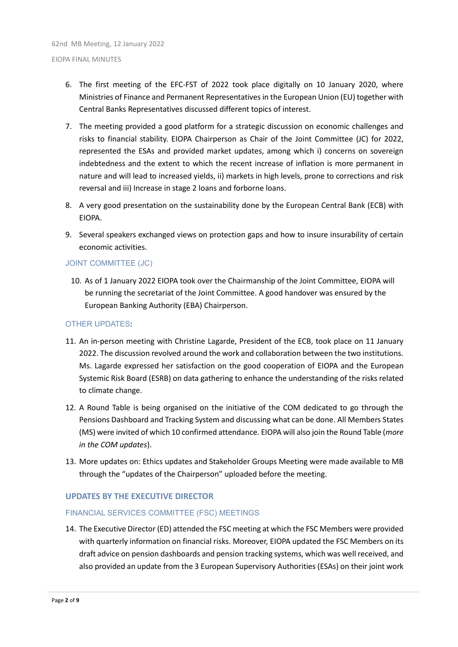- 6. The first meeting of the EFC-FST of 2022 took place digitally on 10 January 2020, where Ministries of Finance and Permanent Representatives in the European Union (EU) together with Central Banks Representatives discussed different topics of interest.
- 7. The meeting provided a good platform for a strategic discussion on economic challenges and risks to financial stability. EIOPA Chairperson as Chair of the Joint Committee (JC) for 2022, represented the ESAs and provided market updates, among which i) concerns on sovereign indebtedness and the extent to which the recent increase of inflation is more permanent in nature and will lead to increased yields, ii) markets in high levels, prone to corrections and risk reversal and iii) Increase in stage 2 loans and forborne loans.
- 8. A very good presentation on the sustainability done by the European Central Bank (ECB) with EIOPA.
- 9. Several speakers exchanged views on protection gaps and how to insure insurability of certain economic activities.

#### JOINT COMMITTEE (JC)

10. As of 1 January 2022 EIOPA took over the Chairmanship of the Joint Committee, EIOPA will be running the secretariat of the Joint Committee. A good handover was ensured by the European Banking Authority (EBA) Chairperson.

#### OTHER UPDATES:

- 11. An in-person meeting with Christine Lagarde, President of the ECB, took place on 11 January 2022. The discussion revolved around the work and collaboration between the two institutions. Ms. Lagarde expressed her satisfaction on the good cooperation of EIOPA and the European Systemic Risk Board (ESRB) on data gathering to enhance the understanding of the risks related to climate change.
- 12. A Round Table is being organised on the initiative of the COM dedicated to go through the Pensions Dashboard and Tracking System and discussing what can be done. All Members States (MS) were invited of which 10 confirmed attendance. EIOPA will also join the Round Table (*more in the COM updates*).
- 13. More updates on: Ethics updates and Stakeholder Groups Meeting were made available to MB through the "updates of the Chairperson" uploaded before the meeting.

## **UPDATES BY THE EXECUTIVE DIRECTOR**

#### FINANCIAL SERVICES COMMITTEE (FSC) MEETINGS

14. The Executive Director (ED) attended the FSC meeting at which the FSC Members were provided with quarterly information on financial risks. Moreover, EIOPA updated the FSC Members on its draft advice on pension dashboards and pension tracking systems, which was well received, and also provided an update from the 3 European Supervisory Authorities (ESAs) on their joint work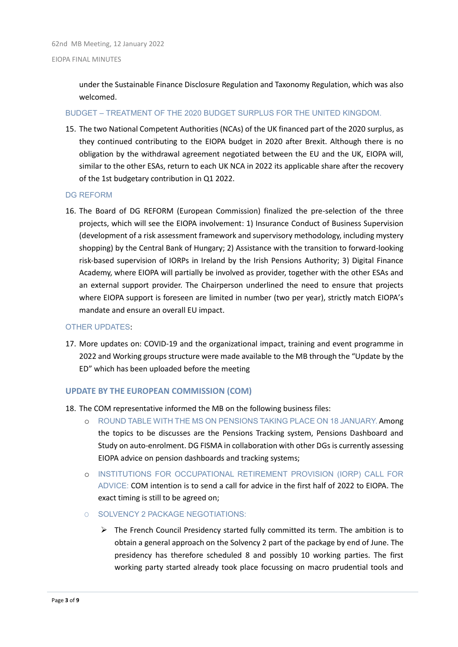under the Sustainable Finance Disclosure Regulation and Taxonomy Regulation, which was also welcomed.

#### BUDGET – TREATMENT OF THE 2020 BUDGET SURPLUS FOR THE UNITED KINGDOM.

15. The two National Competent Authorities (NCAs) of the UK financed part of the 2020 surplus, as they continued contributing to the EIOPA budget in 2020 after Brexit. Although there is no obligation by the withdrawal agreement negotiated between the EU and the UK, EIOPA will, similar to the other ESAs, return to each UK NCA in 2022 its applicable share after the recovery of the 1st budgetary contribution in Q1 2022.

#### DG REFORM

16. The Board of DG REFORM (European Commission) finalized the pre-selection of the three projects, which will see the EIOPA involvement: 1) Insurance Conduct of Business Supervision (development of a risk assessment framework and supervisory methodology, including mystery shopping) by the Central Bank of Hungary; 2) Assistance with the transition to forward-looking risk-based supervision of IORPs in Ireland by the Irish Pensions Authority; 3) Digital Finance Academy, where EIOPA will partially be involved as provider, together with the other ESAs and an external support provider. The Chairperson underlined the need to ensure that projects where EIOPA support is foreseen are limited in number (two per year), strictly match EIOPA's mandate and ensure an overall EU impact.

#### OTHER UPDATES:

17. More updates on: COVID-19 and the organizational impact, training and event programme in 2022 and Working groups structure were made available to the MB through the "Update by the ED" which has been uploaded before the meeting

#### **UPDATE BY THE EUROPEAN COMMISSION (COM)**

- 18. The COM representative informed the MB on the following business files:
	- o ROUND TABLE WITH THE MS ON PENSIONS TAKING PLACE ON 18 JANUARY. Among the topics to be discusses are the Pensions Tracking system, Pensions Dashboard and Study on auto-enrolment. DG FISMA in collaboration with other DGs is currently assessing EIOPA advice on pension dashboards and tracking systems;
	- o INSTITUTIONS FOR OCCUPATIONAL RETIREMENT PROVISION (IORP) CALL FOR ADVICE: COM intention is to send a call for advice in the first half of 2022 to EIOPA. The exact timing is still to be agreed on;
	- O SOLVENCY 2 PACKAGE NEGOTIATIONS:
		- $\triangleright$  The French Council Presidency started fully committed its term. The ambition is to obtain a general approach on the Solvency 2 part of the package by end of June. The presidency has therefore scheduled 8 and possibly 10 working parties. The first working party started already took place focussing on macro prudential tools and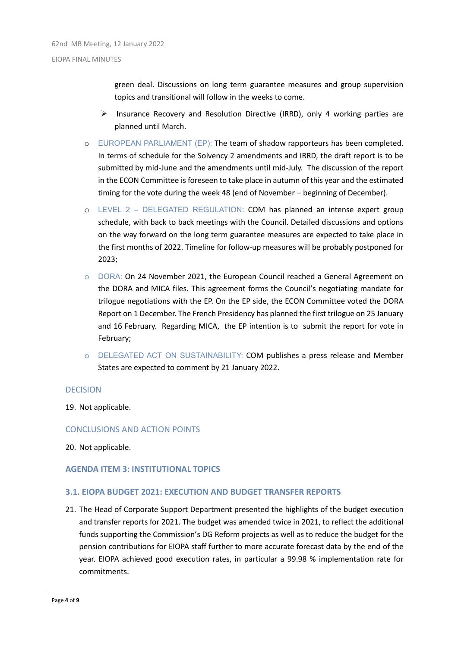green deal. Discussions on long term guarantee measures and group supervision topics and transitional will follow in the weeks to come.

- $\triangleright$  Insurance Recovery and Resolution Directive (IRRD), only 4 working parties are planned until March.
- EUROPEAN PARLIAMENT (EP): The team of shadow rapporteurs has been completed. In terms of schedule for the Solvency 2 amendments and IRRD, the draft report is to be submitted by mid-June and the amendments until mid-July. The discussion of the report in the ECON Committee is foreseen to take place in autumn of this year and the estimated timing for the vote during the week 48 (end of November – beginning of December).
- o LEVEL 2 DELEGATED REGULATION: COM has planned an intense expert group schedule, with back to back meetings with the Council. Detailed discussions and options on the way forward on the long term guarantee measures are expected to take place in the first months of 2022. Timeline for follow-up measures will be probably postponed for 2023;
- o DORA: On 24 November 2021, the European Council reached a General Agreement on the DORA and MICA files. This agreement forms the Council's negotiating mandate for trilogue negotiations with the EP. On the EP side, the ECON Committee voted the DORA Report on 1 December. The French Presidency has planned the first trilogue on 25 January and 16 February. Regarding MICA, the EP intention is to submit the report for vote in February;
- o DELEGATED ACT ON SUSTAINABILITY: COM publishes a press release and Member States are expected to comment by 21 January 2022.

#### DECISION

19. Not applicable.

#### CONCLUSIONS AND ACTION POINTS

20. Not applicable.

#### **AGENDA ITEM 3: INSTITUTIONAL TOPICS**

#### **3.1. EIOPA BUDGET 2021: EXECUTION AND BUDGET TRANSFER REPORTS**

21. The Head of Corporate Support Department presented the highlights of the budget execution and transfer reports for 2021. The budget was amended twice in 2021, to reflect the additional funds supporting the Commission's DG Reform projects as well as to reduce the budget for the pension contributions for EIOPA staff further to more accurate forecast data by the end of the year. EIOPA achieved good execution rates, in particular a 99.98 % implementation rate for commitments.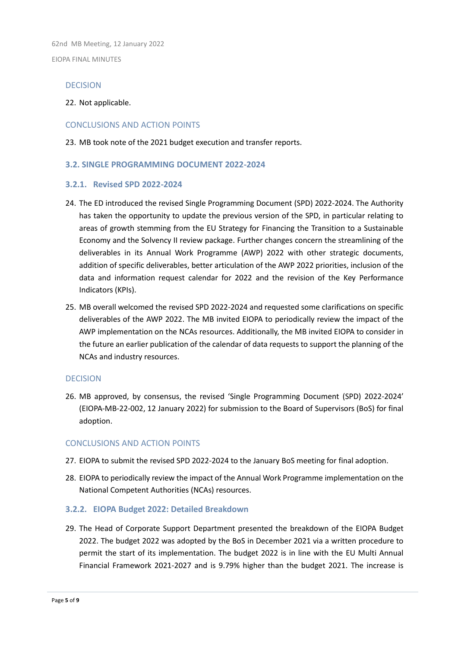62nd MB Meeting, 12 January 2022 EIOPA FINAL MINUTES

### DECISION

#### 22. Not applicable.

#### CONCLUSIONS AND ACTION POINTS

23. MB took note of the 2021 budget execution and transfer reports.

### **3.2. SINGLE PROGRAMMING DOCUMENT 2022-2024**

#### **3.2.1. Revised SPD 2022-2024**

- 24. The ED introduced the revised Single Programming Document (SPD) 2022-2024. The Authority has taken the opportunity to update the previous version of the SPD, in particular relating to areas of growth stemming from the EU Strategy for Financing the Transition to a Sustainable Economy and the Solvency II review package. Further changes concern the streamlining of the deliverables in its Annual Work Programme (AWP) 2022 with other strategic documents, addition of specific deliverables, better articulation of the AWP 2022 priorities, inclusion of the data and information request calendar for 2022 and the revision of the Key Performance Indicators (KPIs).
- 25. MB overall welcomed the revised SPD 2022-2024 and requested some clarifications on specific deliverables of the AWP 2022. The MB invited EIOPA to periodically review the impact of the AWP implementation on the NCAs resources. Additionally, the MB invited EIOPA to consider in the future an earlier publication of the calendar of data requests to support the planning of the NCAs and industry resources.

#### DECISION

26. MB approved, by consensus, the revised 'Single Programming Document (SPD) 2022-2024' (EIOPA-MB-22-002, 12 January 2022) for submission to the Board of Supervisors (BoS) for final adoption.

#### CONCLUSIONS AND ACTION POINTS

- 27. EIOPA to submit the revised SPD 2022-2024 to the January BoS meeting for final adoption.
- 28. EIOPA to periodically review the impact of the Annual Work Programme implementation on the National Competent Authorities (NCAs) resources.

## **3.2.2. EIOPA Budget 2022: Detailed Breakdown**

29. The Head of Corporate Support Department presented the breakdown of the EIOPA Budget 2022. The budget 2022 was adopted by the BoS in December 2021 via a written procedure to permit the start of its implementation. The budget 2022 is in line with the EU Multi Annual Financial Framework 2021-2027 and is 9.79% higher than the budget 2021. The increase is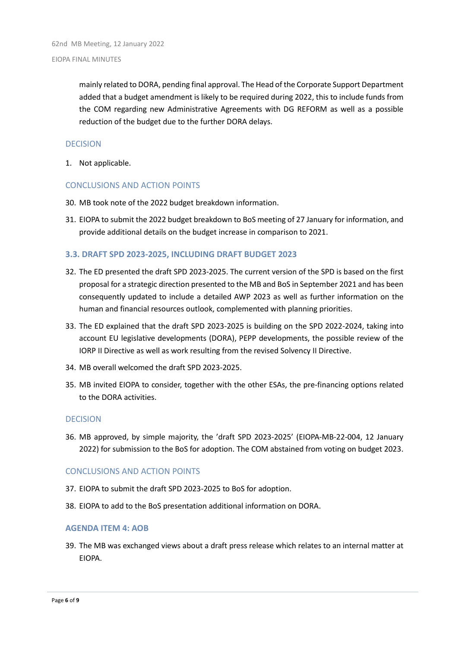mainly related to DORA, pending final approval. The Head of the Corporate Support Department added that a budget amendment is likely to be required during 2022, this to include funds from the COM regarding new Administrative Agreements with DG REFORM as well as a possible reduction of the budget due to the further DORA delays.

#### DECISION

1. Not applicable.

#### CONCLUSIONS AND ACTION POINTS

- 30. MB took note of the 2022 budget breakdown information.
- 31. EIOPA to submit the 2022 budget breakdown to BoS meeting of 27 January for information, and provide additional details on the budget increase in comparison to 2021.

### **3.3. DRAFT SPD 2023-2025, INCLUDING DRAFT BUDGET 2023**

- 32. The ED presented the draft SPD 2023-2025. The current version of the SPD is based on the first proposal for a strategic direction presented to the MB and BoS in September 2021 and has been consequently updated to include a detailed AWP 2023 as well as further information on the human and financial resources outlook, complemented with planning priorities.
- 33. The ED explained that the draft SPD 2023-2025 is building on the SPD 2022-2024, taking into account EU legislative developments (DORA), PEPP developments, the possible review of the IORP II Directive as well as work resulting from the revised Solvency II Directive.
- 34. MB overall welcomed the draft SPD 2023-2025.
- 35. MB invited EIOPA to consider, together with the other ESAs, the pre-financing options related to the DORA activities.

#### DECISION

36. MB approved, by simple majority, the 'draft SPD 2023-2025' (EIOPA-MB-22-004, 12 January 2022) for submission to the BoS for adoption. The COM abstained from voting on budget 2023.

#### CONCLUSIONS AND ACTION POINTS

- 37. EIOPA to submit the draft SPD 2023-2025 to BoS for adoption.
- 38. EIOPA to add to the BoS presentation additional information on DORA.

#### **AGENDA ITEM 4: AOB**

39. The MB was exchanged views about a draft press release which relates to an internal matter at EIOPA.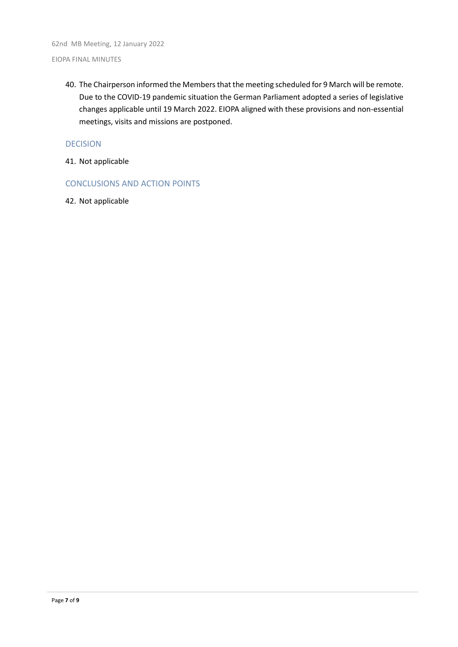40. The Chairperson informed the Members that the meeting scheduled for 9 March will be remote. Due to the COVID-19 pandemic situation the German Parliament adopted a series of legislative changes applicable until 19 March 2022. EIOPA aligned with these provisions and non-essential meetings, visits and missions are postponed.

#### DECISION

- 41. Not applicable
- CONCLUSIONS AND ACTION POINTS
- 42. Not applicable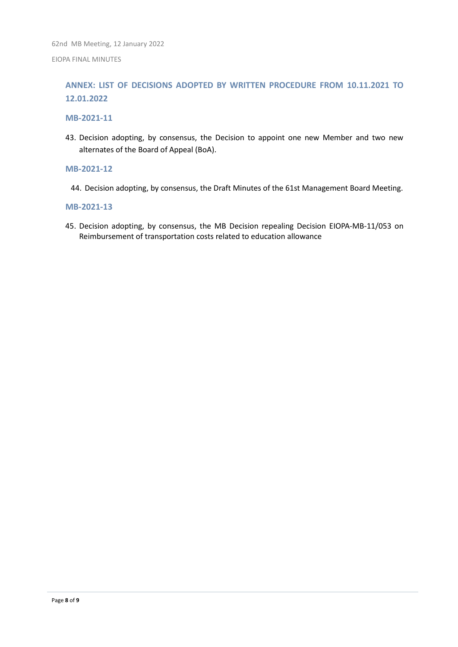# **ANNEX: LIST OF DECISIONS ADOPTED BY WRITTEN PROCEDURE FROM 10.11.2021 TO 12.01.2022**

#### **MB-2021-11**

43. Decision adopting, by consensus, the Decision to appoint one new Member and two new alternates of the Board of Appeal (BoA).

#### **MB-2021-12**

44. Decision adopting, by consensus, the Draft Minutes of the 61st Management Board Meeting.

#### **MB-2021-13**

45. Decision adopting, by consensus, the MB Decision repealing Decision EIOPA-MB-11/053 on Reimbursement of transportation costs related to education allowance